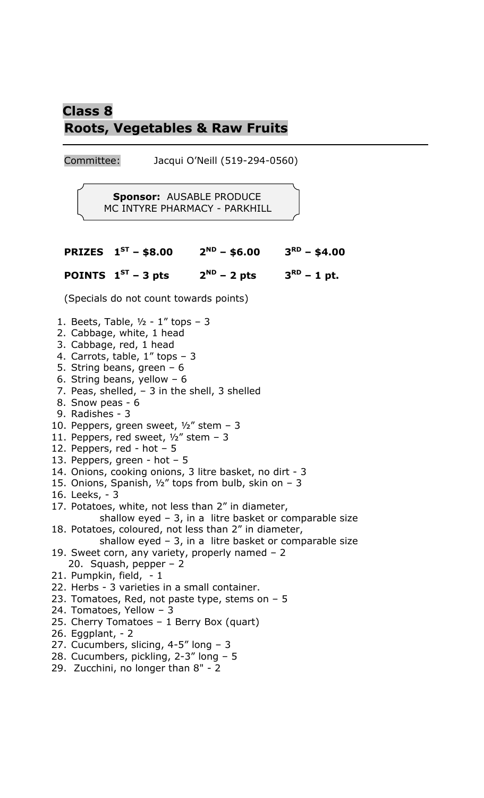## **Class 8 Roots, Vegetables & Raw Fruits**

Committee: Jacqui O'Neill (519-294-0560) **PRIZES 1 ST – \$8.00 2**  $2^{ND}$  – \$6.00 **RD – \$4.00 POINTS 1 ST – 3 pts 2**  $2^{ND}$  – 2 pts **RD – 1 pt.** (Specials do not count towards points) 1. Beets, Table,  $1/2 - 1$ " tops  $-3$ 2. Cabbage, white, 1 head 3. Cabbage, red, 1 head 4. Carrots, table, 1" tops – 3 5. String beans, green – 6 6. String beans, yellow – 6 7. Peas, shelled, – 3 in the shell, 3 shelled 8. Snow peas - 6 9. Radishes - 3 10. Peppers, green sweet,  $1/2$ " stem - 3 11. Peppers, red sweet,  $1/2$ " stem - 3 12. Peppers, red - hot  $-5$ 13. Peppers, green - hot – 5 14. Onions, cooking onions, 3 litre basket, no dirt - 3 15. Onions, Spanish,  $1/2$ " tops from bulb, skin on - 3 16. Leeks, - 3 17. Potatoes, white, not less than 2" in diameter, shallow eyed – 3, in a litre basket or comparable size 18. Potatoes, coloured, not less than 2" in diameter, shallow eyed – 3, in a litre basket or comparable size 19. Sweet corn, any variety, properly named – 2 20. Squash, pepper – 2 21. Pumpkin, field, - 1 22. Herbs - 3 varieties in a small container. 23. Tomatoes, Red, not paste type, stems on – 5 24. Tomatoes, Yellow – 3 25. Cherry Tomatoes – 1 Berry Box (quart) 26. Eggplant, - 2 27. Cucumbers, slicing, 4-5" long – 3 28. Cucumbers, pickling, 2-3" long – 5 29. Zucchini, no longer than 8" - 2  **Sponsor:** AUSABLE PRODUCE MC INTYRE PHARMACY - PARKHILL